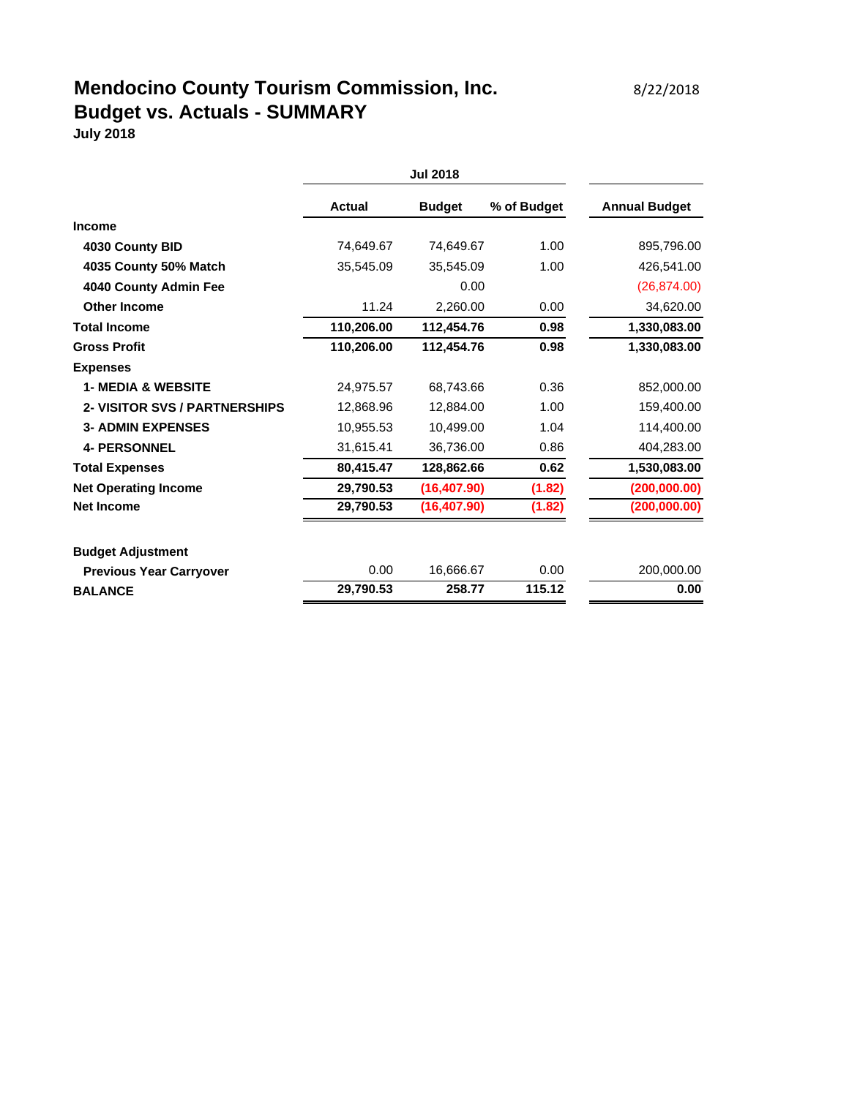# **Mendocino County Tourism Commission, Inc.** 8/22/2018 **Budget vs. Actuals - SUMMARY**

**July 2018**

|                                      | Actual     | <b>Budget</b> | % of Budget | <b>Annual Budget</b> |
|--------------------------------------|------------|---------------|-------------|----------------------|
| <b>Income</b>                        |            |               |             |                      |
| 4030 County BID                      | 74,649.67  | 74,649.67     | 1.00        | 895,796.00           |
| 4035 County 50% Match                | 35,545.09  | 35,545.09     | 1.00        | 426,541.00           |
| 4040 County Admin Fee                |            | 0.00          |             | (26, 874.00)         |
| <b>Other Income</b>                  | 11.24      | 2,260.00      | 0.00        | 34,620.00            |
| <b>Total Income</b>                  | 110,206.00 | 112,454.76    | 0.98        | 1,330,083.00         |
| <b>Gross Profit</b>                  | 110,206.00 | 112.454.76    | 0.98        | 1,330,083.00         |
| <b>Expenses</b>                      |            |               |             |                      |
| <b>1- MEDIA &amp; WEBSITE</b>        | 24.975.57  | 68.743.66     | 0.36        | 852,000.00           |
| <b>2- VISITOR SVS / PARTNERSHIPS</b> | 12.868.96  | 12.884.00     | 1.00        | 159,400.00           |
| <b>3- ADMIN EXPENSES</b>             | 10.955.53  | 10.499.00     | 1.04        | 114,400.00           |
| <b>4- PERSONNEL</b>                  | 31,615.41  | 36,736.00     | 0.86        | 404,283.00           |
| <b>Total Expenses</b>                | 80,415.47  | 128,862.66    | 0.62        | 1,530,083.00         |
| <b>Net Operating Income</b>          | 29,790.53  | (16, 407.90)  | (1.82)      | (200,000.00)         |
| <b>Net Income</b>                    | 29,790.53  | (16, 407.90)  | (1.82)      | (200, 000.00)        |
| <b>Budget Adjustment</b>             |            |               |             |                      |
| <b>Previous Year Carryover</b>       | 0.00       | 16,666.67     | 0.00        | 200,000.00           |
| <b>BALANCE</b>                       | 29,790.53  | 258.77        | 115.12      | 0.00                 |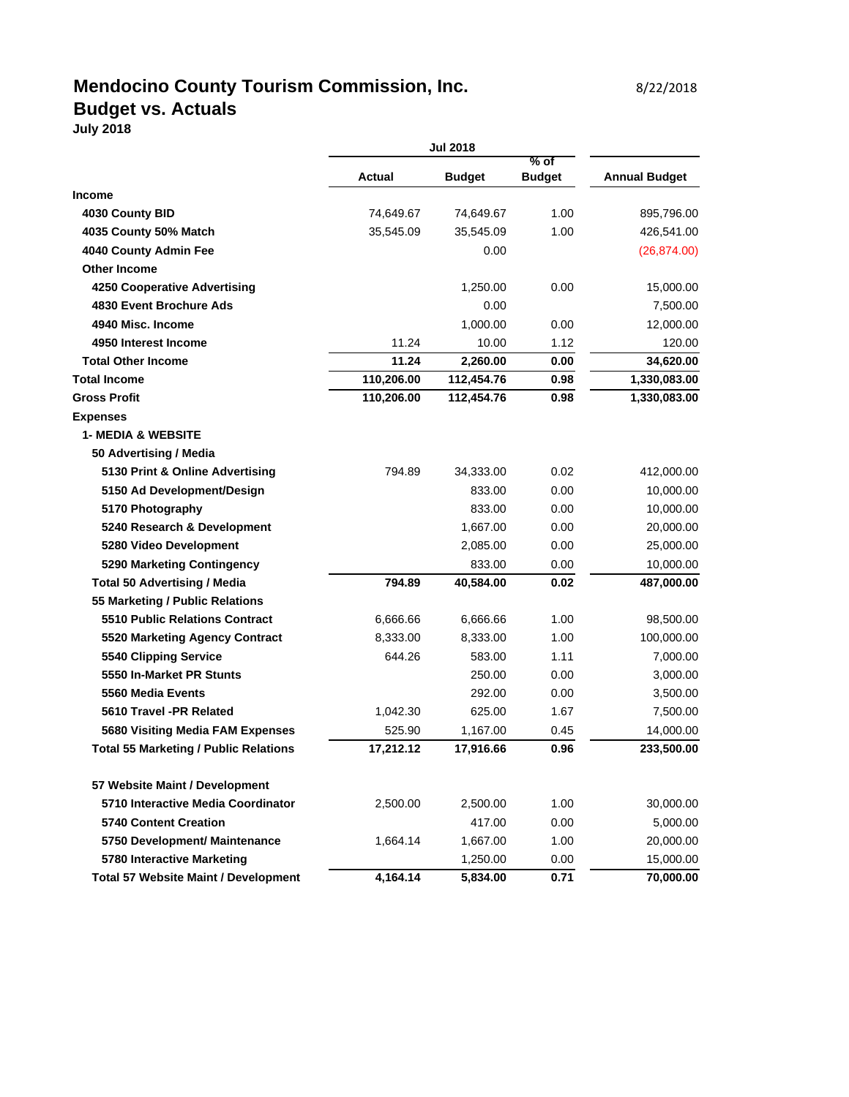#### **Mendocino County Tourism Commission, Inc.** 8/22/2018 **Budget vs. Actuals**

**July 2018**

|                                              | <b>Jul 2018</b> |               |                         |                      |  |
|----------------------------------------------|-----------------|---------------|-------------------------|----------------------|--|
|                                              | <b>Actual</b>   | <b>Budget</b> | $%$ of<br><b>Budget</b> | <b>Annual Budget</b> |  |
| <b>Income</b>                                |                 |               |                         |                      |  |
| 4030 County BID                              | 74,649.67       | 74,649.67     | 1.00                    | 895,796.00           |  |
| 4035 County 50% Match                        | 35,545.09       | 35,545.09     | 1.00                    | 426,541.00           |  |
| 4040 County Admin Fee                        |                 | 0.00          |                         | (26, 874.00)         |  |
| <b>Other Income</b>                          |                 |               |                         |                      |  |
| <b>4250 Cooperative Advertising</b>          |                 | 1,250.00      | 0.00                    | 15,000.00            |  |
| 4830 Event Brochure Ads                      |                 | 0.00          |                         | 7,500.00             |  |
| 4940 Misc. Income                            |                 | 1,000.00      | 0.00                    | 12,000.00            |  |
| 4950 Interest Income                         | 11.24           | 10.00         | 1.12                    | 120.00               |  |
| <b>Total Other Income</b>                    | 11.24           | 2,260.00      | 0.00                    | 34,620.00            |  |
| <b>Total Income</b>                          | 110,206.00      | 112,454.76    | 0.98                    | 1,330,083.00         |  |
| <b>Gross Profit</b>                          | 110,206.00      | 112,454.76    | 0.98                    | 1,330,083.00         |  |
| <b>Expenses</b>                              |                 |               |                         |                      |  |
| <b>1- MEDIA &amp; WEBSITE</b>                |                 |               |                         |                      |  |
| 50 Advertising / Media                       |                 |               |                         |                      |  |
| 5130 Print & Online Advertising              | 794.89          | 34,333.00     | 0.02                    | 412,000.00           |  |
| 5150 Ad Development/Design                   |                 | 833.00        | 0.00                    | 10,000.00            |  |
| 5170 Photography                             |                 | 833.00        | 0.00                    | 10,000.00            |  |
| 5240 Research & Development                  |                 | 1,667.00      | 0.00                    | 20,000.00            |  |
| 5280 Video Development                       |                 | 2,085.00      | 0.00                    | 25,000.00            |  |
| 5290 Marketing Contingency                   |                 | 833.00        | 0.00                    | 10,000.00            |  |
| <b>Total 50 Advertising / Media</b>          | 794.89          | 40,584.00     | 0.02                    | 487,000.00           |  |
| 55 Marketing / Public Relations              |                 |               |                         |                      |  |
| <b>5510 Public Relations Contract</b>        | 6,666.66        | 6,666.66      | 1.00                    | 98,500.00            |  |
| 5520 Marketing Agency Contract               | 8,333.00        | 8,333.00      | 1.00                    | 100,000.00           |  |
| 5540 Clipping Service                        | 644.26          | 583.00        | 1.11                    | 7,000.00             |  |
| 5550 In-Market PR Stunts                     |                 | 250.00        | 0.00                    | 3,000.00             |  |
| 5560 Media Events                            |                 | 292.00        | 0.00                    | 3,500.00             |  |
| 5610 Travel -PR Related                      | 1,042.30        | 625.00        | 1.67                    | 7,500.00             |  |
| 5680 Visiting Media FAM Expenses             | 525.90          | 1,167.00      | 0.45                    | 14,000.00            |  |
| <b>Total 55 Marketing / Public Relations</b> | 17,212.12       | 17,916.66     | 0.96                    | 233,500.00           |  |
| 57 Website Maint / Development               |                 |               |                         |                      |  |
| 5710 Interactive Media Coordinator           | 2,500.00        | 2,500.00      | 1.00                    | 30,000.00            |  |

**5740 Content Creation** 6,000 **10.00 11.000 1.000 1.000 1.000 1.000 1.000 1.000 1.000 1.000 1.000 1.000 1.000 1.000 1.000 1.000 1.000 1.000 1.000 1.000 1.000 1.000 1.000 1.000 1.000 1.000 1.000 1.000 1.000 1.000 1.000 1.00 5750 Development/ Maintenance** 1,664.14 1,667.00 1.00 20,000.00 **5780 Interactive Marketing 1,250.00 15,000.00 15,000.00 15,000.00 Total 57 Website Maint / Development 4,164.14 5,834.00 0.71 70,000.00**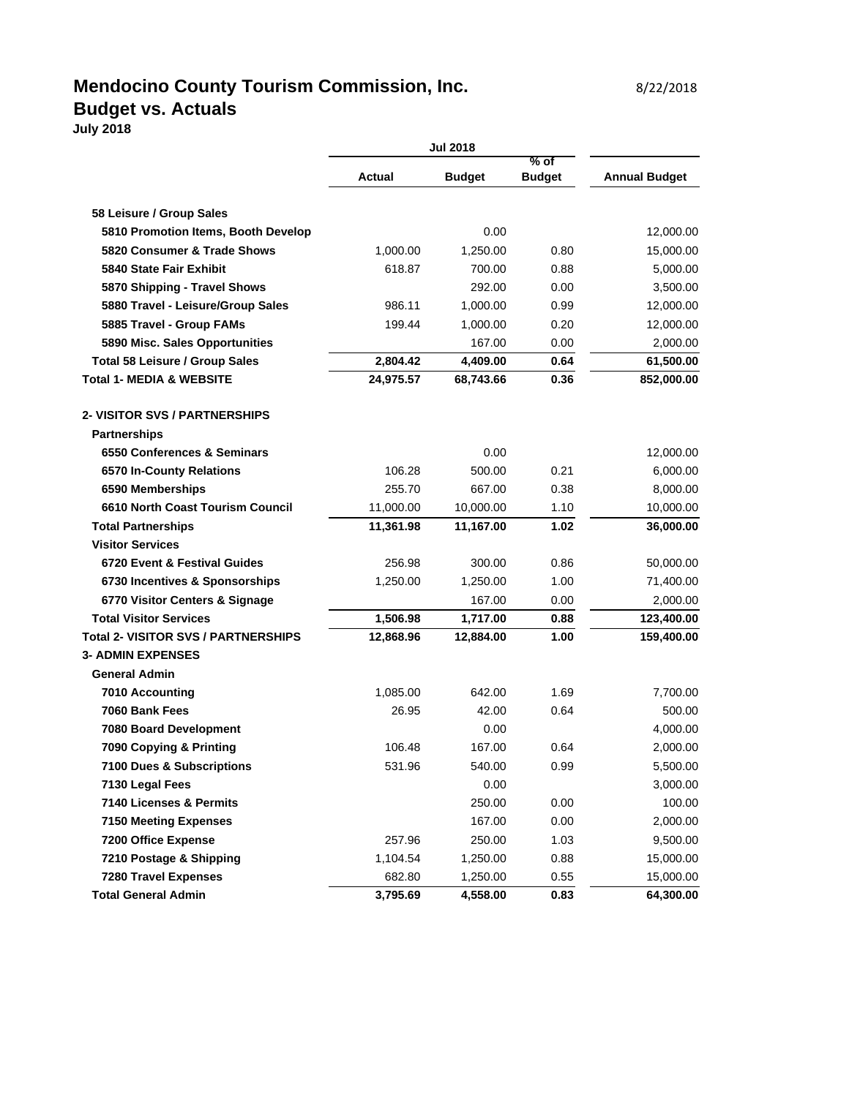### **Mendocino County Tourism Commission, Inc.** 6/22/2018 **Budget vs. Actuals**

**July 2018**

|                                            | <b>Jul 2018</b> |               |                         |                      |
|--------------------------------------------|-----------------|---------------|-------------------------|----------------------|
|                                            | <b>Actual</b>   | <b>Budget</b> | $%$ of<br><b>Budget</b> | <b>Annual Budget</b> |
|                                            |                 |               |                         |                      |
| 58 Leisure / Group Sales                   |                 |               |                         |                      |
| 5810 Promotion Items, Booth Develop        |                 | 0.00          |                         | 12,000.00            |
| 5820 Consumer & Trade Shows                | 1,000.00        | 1,250.00      | 0.80                    | 15,000.00            |
| 5840 State Fair Exhibit                    | 618.87          | 700.00        | 0.88                    | 5,000.00             |
| 5870 Shipping - Travel Shows               |                 | 292.00        | 0.00                    | 3,500.00             |
| 5880 Travel - Leisure/Group Sales          | 986.11          | 1,000.00      | 0.99                    | 12,000.00            |
| 5885 Travel - Group FAMs                   | 199.44          | 1,000.00      | 0.20                    | 12,000.00            |
| 5890 Misc. Sales Opportunities             |                 | 167.00        | 0.00                    | 2,000.00             |
| <b>Total 58 Leisure / Group Sales</b>      | 2,804.42        | 4,409.00      | 0.64                    | 61,500.00            |
| <b>Total 1- MEDIA &amp; WEBSITE</b>        | 24,975.57       | 68,743.66     | 0.36                    | 852,000.00           |
| 2- VISITOR SVS / PARTNERSHIPS              |                 |               |                         |                      |
| <b>Partnerships</b>                        |                 |               |                         |                      |
| 6550 Conferences & Seminars                |                 | 0.00          |                         | 12,000.00            |
| 6570 In-County Relations                   | 106.28          | 500.00        | 0.21                    | 6,000.00             |
| 6590 Memberships                           | 255.70          | 667.00        | 0.38                    | 8,000.00             |
| 6610 North Coast Tourism Council           | 11,000.00       | 10,000.00     | 1.10                    | 10,000.00            |
| <b>Total Partnerships</b>                  | 11,361.98       | 11,167.00     | 1.02                    | 36,000.00            |
| <b>Visitor Services</b>                    |                 |               |                         |                      |
| 6720 Event & Festival Guides               | 256.98          | 300.00        | 0.86                    | 50,000.00            |
| 6730 Incentives & Sponsorships             | 1,250.00        | 1,250.00      | 1.00                    | 71,400.00            |
| 6770 Visitor Centers & Signage             |                 | 167.00        | 0.00                    | 2,000.00             |
| <b>Total Visitor Services</b>              | 1,506.98        | 1,717.00      | 0.88                    | 123,400.00           |
| <b>Total 2- VISITOR SVS / PARTNERSHIPS</b> | 12,868.96       | 12,884.00     | 1.00                    | 159,400.00           |
| <b>3- ADMIN EXPENSES</b>                   |                 |               |                         |                      |
| <b>General Admin</b>                       |                 |               |                         |                      |
| 7010 Accounting                            | 1,085.00        | 642.00        | 1.69                    | 7,700.00             |
| 7060 Bank Fees                             | 26.95           | 42.00         | 0.64                    | 500.00               |
| 7080 Board Development                     |                 | 0.00          |                         | 4,000.00             |
| 7090 Copying & Printing                    | 106.48          | 167.00        | 0.64                    | 2,000.00             |
| 7100 Dues & Subscriptions                  | 531.96          | 540.00        | 0.99                    | 5,500.00             |
| 7130 Legal Fees                            |                 | 0.00          |                         | 3,000.00             |
| 7140 Licenses & Permits                    |                 | 250.00        | 0.00                    | 100.00               |
| <b>7150 Meeting Expenses</b>               |                 | 167.00        | 0.00                    | 2,000.00             |
| 7200 Office Expense                        | 257.96          | 250.00        | 1.03                    | 9,500.00             |
| 7210 Postage & Shipping                    | 1,104.54        | 1,250.00      | 0.88                    | 15,000.00            |
| 7280 Travel Expenses                       | 682.80          | 1,250.00      | 0.55                    | 15,000.00            |
| <b>Total General Admin</b>                 | 3,795.69        | 4,558.00      | 0.83                    | 64,300.00            |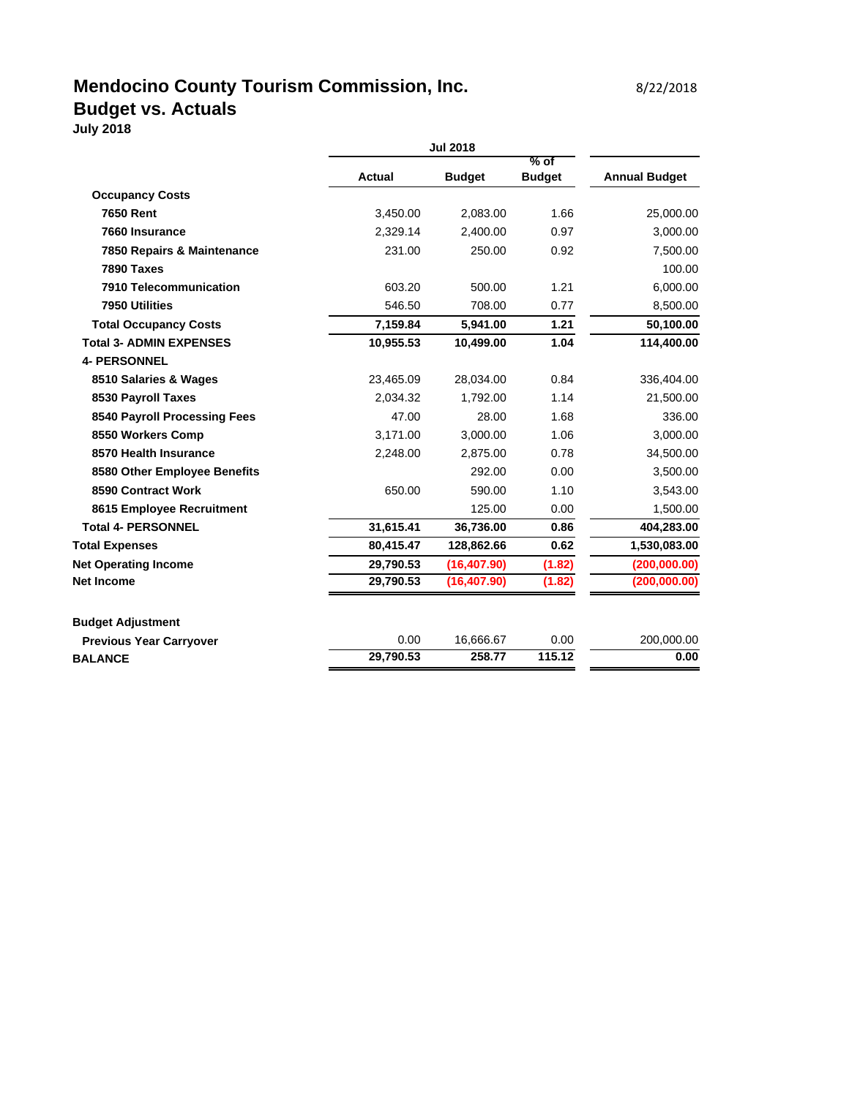## **Mendocino County Tourism Commission, Inc.** 8/22/2018 **Budget vs. Actuals**

**July 2018**

|                            | <b>Jul 2018</b> |                 |                         |                      |
|----------------------------|-----------------|-----------------|-------------------------|----------------------|
|                            | <b>Actual</b>   | <b>Budget</b>   | $%$ of<br><b>Budget</b> | <b>Annual Budget</b> |
| <b>Occupancy Costs</b>     |                 |                 |                         |                      |
| <b>7650 Rent</b>           | 3,450.00        | 2,083.00        | 1.66                    | 25,000.00            |
| 7660 Insurance             | 2,329.14        | 2,400.00        | 0.97                    | 3,000.00             |
| 7850 Repairs & Maintenance | 231.00          | 250.00          | 0.92                    | 7,500.00             |
| 7890 Taxes                 |                 |                 |                         | 100.00               |
| 7910 Telecommunication     | 603.20          | 500.00          | 1.21                    | 6,000.00             |
| 7950 Utilities             | 546.50          | 708.00          | 0.77                    | 8,500.00             |
| Total Occupancy Coete      | 745004          | <b>E 044 00</b> | 1. 21                   | <b>EQ 100.00</b>     |

| 7950 Utilities                 | 546.50    | 708.00       | 0.77   | 8,500.00     |
|--------------------------------|-----------|--------------|--------|--------------|
| <b>Total Occupancy Costs</b>   | 7,159.84  | 5,941.00     | 1.21   | 50,100.00    |
| <b>Total 3- ADMIN EXPENSES</b> | 10,955.53 | 10,499.00    | 1.04   | 114,400.00   |
| <b>4- PERSONNEL</b>            |           |              |        |              |
| 8510 Salaries & Wages          | 23,465.09 | 28,034.00    | 0.84   | 336,404.00   |
| 8530 Payroll Taxes             | 2,034.32  | 1,792.00     | 1.14   | 21,500.00    |
| 8540 Payroll Processing Fees   | 47.00     | 28.00        | 1.68   | 336.00       |
| 8550 Workers Comp              | 3,171.00  | 3,000.00     | 1.06   | 3,000.00     |
| 8570 Health Insurance          | 2,248.00  | 2,875.00     | 0.78   | 34,500.00    |
| 8580 Other Employee Benefits   |           | 292.00       | 0.00   | 3,500.00     |
| 8590 Contract Work             | 650.00    | 590.00       | 1.10   | 3,543.00     |
| 8615 Employee Recruitment      |           | 125.00       | 0.00   | 1,500.00     |
| <b>Total 4- PERSONNEL</b>      | 31,615.41 | 36,736.00    | 0.86   | 404,283.00   |
| <b>Total Expenses</b>          | 80,415.47 | 128,862.66   | 0.62   | 1,530,083.00 |
| <b>Net Operating Income</b>    | 29,790.53 | (16, 407.90) | (1.82) | (200,000.00) |
| Net Income                     | 29,790.53 | (16, 407.90) | (1.82) | (200,000.00) |
| <b>Budget Adjustment</b>       |           |              |        |              |
| <b>Previous Year Carryover</b> | 0.00      | 16,666.67    | 0.00   | 200,000.00   |
| <b>BALANCE</b>                 | 29,790.53 | 258.77       | 115.12 | 0.00         |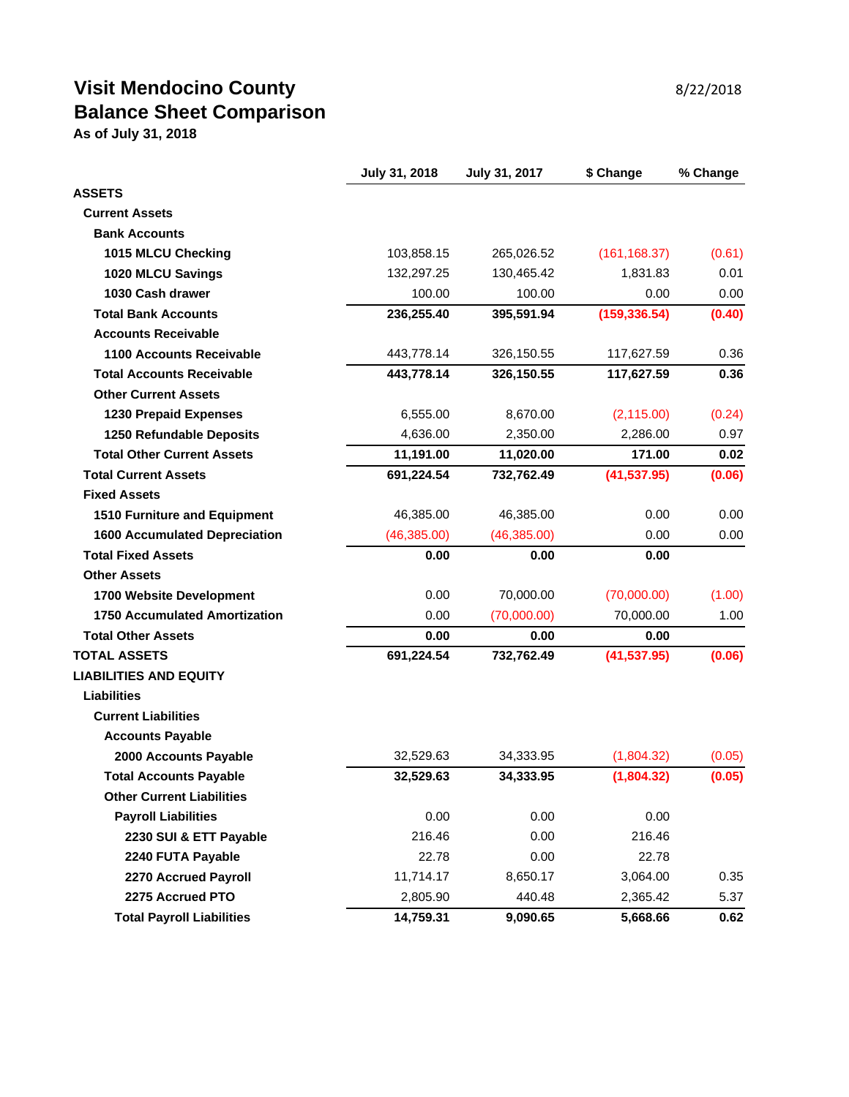# **Visit Mendocino County 8/22/2018 Balance Sheet Comparison**

**As of July 31, 2018**

|                                      | July 31, 2018 | July 31, 2017 | \$ Change     | % Change |
|--------------------------------------|---------------|---------------|---------------|----------|
| <b>ASSETS</b>                        |               |               |               |          |
| <b>Current Assets</b>                |               |               |               |          |
| <b>Bank Accounts</b>                 |               |               |               |          |
| 1015 MLCU Checking                   | 103,858.15    | 265,026.52    | (161, 168.37) | (0.61)   |
| 1020 MLCU Savings                    | 132,297.25    | 130,465.42    | 1,831.83      | 0.01     |
| 1030 Cash drawer                     | 100.00        | 100.00        | 0.00          | 0.00     |
| <b>Total Bank Accounts</b>           | 236,255.40    | 395,591.94    | (159, 336.54) | (0.40)   |
| <b>Accounts Receivable</b>           |               |               |               |          |
| <b>1100 Accounts Receivable</b>      | 443,778.14    | 326,150.55    | 117,627.59    | 0.36     |
| <b>Total Accounts Receivable</b>     | 443,778.14    | 326,150.55    | 117,627.59    | 0.36     |
| <b>Other Current Assets</b>          |               |               |               |          |
| <b>1230 Prepaid Expenses</b>         | 6,555.00      | 8,670.00      | (2, 115.00)   | (0.24)   |
| 1250 Refundable Deposits             | 4,636.00      | 2,350.00      | 2,286.00      | 0.97     |
| <b>Total Other Current Assets</b>    | 11,191.00     | 11,020.00     | 171.00        | 0.02     |
| <b>Total Current Assets</b>          | 691,224.54    | 732,762.49    | (41, 537.95)  | (0.06)   |
| <b>Fixed Assets</b>                  |               |               |               |          |
| 1510 Furniture and Equipment         | 46,385.00     | 46,385.00     | 0.00          | 0.00     |
| <b>1600 Accumulated Depreciation</b> | (46, 385.00)  | (46, 385.00)  | 0.00          | 0.00     |
| <b>Total Fixed Assets</b>            | 0.00          | 0.00          | 0.00          |          |
| <b>Other Assets</b>                  |               |               |               |          |
| 1700 Website Development             | 0.00          | 70,000.00     | (70,000.00)   | (1.00)   |
| <b>1750 Accumulated Amortization</b> | 0.00          | (70,000.00)   | 70,000.00     | 1.00     |
| <b>Total Other Assets</b>            | 0.00          | 0.00          | 0.00          |          |
| <b>TOTAL ASSETS</b>                  | 691,224.54    | 732,762.49    | (41, 537.95)  | (0.06)   |
| <b>LIABILITIES AND EQUITY</b>        |               |               |               |          |
| <b>Liabilities</b>                   |               |               |               |          |
| <b>Current Liabilities</b>           |               |               |               |          |
| <b>Accounts Payable</b>              |               |               |               |          |
| 2000 Accounts Payable                | 32,529.63     | 34,333.95     | (1,804.32)    | (0.05)   |
| <b>Total Accounts Payable</b>        | 32,529.63     | 34,333.95     | (1,804.32)    | (0.05)   |
| <b>Other Current Liabilities</b>     |               |               |               |          |
| <b>Payroll Liabilities</b>           | 0.00          | 0.00          | 0.00          |          |
| 2230 SUI & ETT Payable               | 216.46        | 0.00          | 216.46        |          |
| 2240 FUTA Payable                    | 22.78         | 0.00          | 22.78         |          |
| 2270 Accrued Payroll                 | 11,714.17     | 8,650.17      | 3,064.00      | 0.35     |
| 2275 Accrued PTO                     | 2,805.90      | 440.48        | 2,365.42      | 5.37     |
| <b>Total Payroll Liabilities</b>     | 14,759.31     | 9,090.65      | 5,668.66      | 0.62     |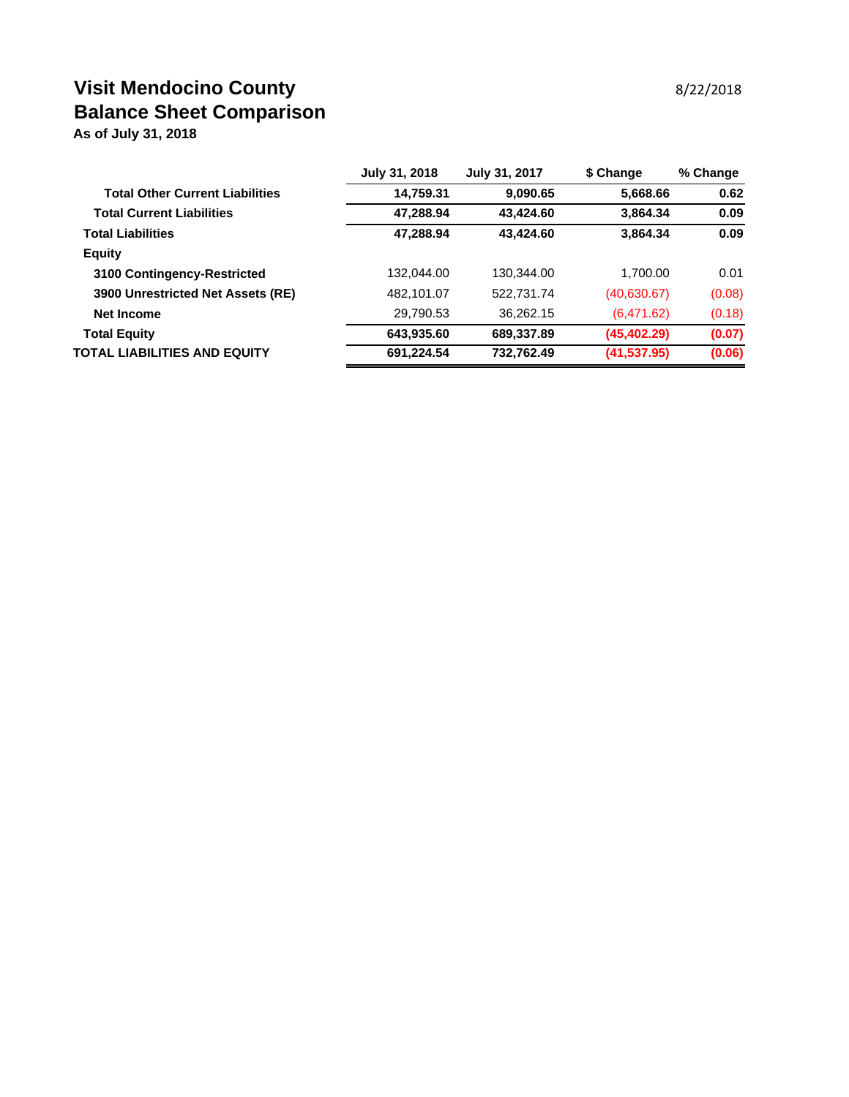# **Visit Mendocino County 8/22/2018 Balance Sheet Comparison**

**As of July 31, 2018**

|                                        | July 31, 2018 | July 31, 2017 | \$ Change    | % Change |
|----------------------------------------|---------------|---------------|--------------|----------|
| <b>Total Other Current Liabilities</b> | 14,759.31     | 9,090.65      | 5,668.66     | 0.62     |
| <b>Total Current Liabilities</b>       | 47,288.94     | 43,424.60     | 3,864.34     | 0.09     |
| <b>Total Liabilities</b>               | 47,288.94     | 43,424.60     | 3,864.34     | 0.09     |
| <b>Equity</b>                          |               |               |              |          |
| 3100 Contingency-Restricted            | 132,044.00    | 130,344.00    | 1,700.00     | 0.01     |
| 3900 Unrestricted Net Assets (RE)      | 482,101.07    | 522,731.74    | (40,630.67)  | (0.08)   |
| <b>Net Income</b>                      | 29,790.53     | 36,262.15     | (6,471.62)   | (0.18)   |
| <b>Total Equity</b>                    | 643,935.60    | 689,337.89    | (45, 402.29) | (0.07)   |
| TOTAL LIABILITIES AND EQUITY           | 691,224.54    | 732,762.49    | (41, 537.95) | (0.06)   |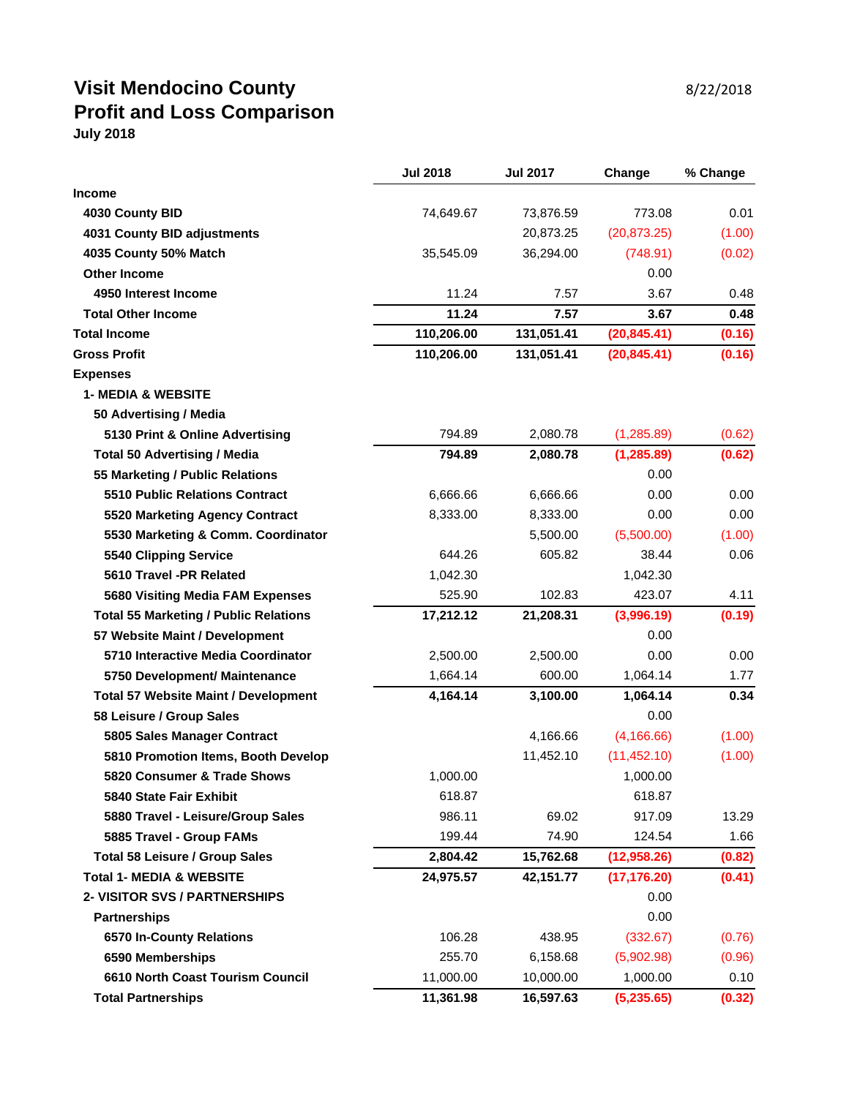#### **Visit Mendocino County** 8/22/2018 **Profit and Loss Comparison July 2018**

| <b>Income</b><br>0.01<br>74,649.67<br>73,876.59<br>773.08<br>4030 County BID<br>(20, 873.25)<br>4031 County BID adjustments<br>20,873.25<br>(1.00)<br>36,294.00<br>4035 County 50% Match<br>35,545.09<br>(748.91)<br>(0.02)<br><b>Other Income</b><br>0.00<br>4950 Interest Income<br>11.24<br>3.67<br>7.57<br>0.48 |
|---------------------------------------------------------------------------------------------------------------------------------------------------------------------------------------------------------------------------------------------------------------------------------------------------------------------|
|                                                                                                                                                                                                                                                                                                                     |
|                                                                                                                                                                                                                                                                                                                     |
|                                                                                                                                                                                                                                                                                                                     |
|                                                                                                                                                                                                                                                                                                                     |
|                                                                                                                                                                                                                                                                                                                     |
|                                                                                                                                                                                                                                                                                                                     |
| 11.24<br>7.57<br><b>Total Other Income</b><br>3.67<br>0.48                                                                                                                                                                                                                                                          |
| 110,206.00<br><b>Total Income</b><br>131,051.41<br>(20, 845.41)<br>(0.16)                                                                                                                                                                                                                                           |
| <b>Gross Profit</b><br>110,206.00<br>(0.16)<br>131,051.41<br>(20, 845.41)                                                                                                                                                                                                                                           |
| <b>Expenses</b>                                                                                                                                                                                                                                                                                                     |
| <b>1- MEDIA &amp; WEBSITE</b>                                                                                                                                                                                                                                                                                       |
| 50 Advertising / Media                                                                                                                                                                                                                                                                                              |
| 794.89<br>5130 Print & Online Advertising<br>2,080.78<br>(1,285.89)<br>(0.62)                                                                                                                                                                                                                                       |
| (1, 285.89)<br>794.89<br>2,080.78<br>(0.62)<br><b>Total 50 Advertising / Media</b>                                                                                                                                                                                                                                  |
| 0.00<br>55 Marketing / Public Relations                                                                                                                                                                                                                                                                             |
| 0.00<br><b>5510 Public Relations Contract</b><br>6,666.66<br>6,666.66<br>0.00                                                                                                                                                                                                                                       |
| 0.00<br>5520 Marketing Agency Contract<br>8,333.00<br>8,333.00<br>0.00                                                                                                                                                                                                                                              |
| 5530 Marketing & Comm. Coordinator<br>5,500.00<br>(5,500.00)<br>(1.00)                                                                                                                                                                                                                                              |
| 644.26<br>605.82<br>38.44<br><b>5540 Clipping Service</b><br>0.06                                                                                                                                                                                                                                                   |
| 5610 Travel -PR Related<br>1,042.30<br>1,042.30                                                                                                                                                                                                                                                                     |
| 525.90<br>102.83<br>4.11<br>5680 Visiting Media FAM Expenses<br>423.07                                                                                                                                                                                                                                              |
| 17,212.12<br>21,208.31<br>(3,996.19)<br>(0.19)<br><b>Total 55 Marketing / Public Relations</b>                                                                                                                                                                                                                      |
| 57 Website Maint / Development<br>0.00                                                                                                                                                                                                                                                                              |
| 5710 Interactive Media Coordinator<br>0.00<br>2,500.00<br>2,500.00<br>0.00                                                                                                                                                                                                                                          |
| 600.00<br>1,664.14<br>1,064.14<br>1.77<br>5750 Development/ Maintenance                                                                                                                                                                                                                                             |
| <b>Total 57 Website Maint / Development</b><br>4,164.14<br>1,064.14<br>0.34<br>3,100.00                                                                                                                                                                                                                             |
| 0.00<br>58 Leisure / Group Sales                                                                                                                                                                                                                                                                                    |
| (4, 166.66)<br>5805 Sales Manager Contract<br>4,166.66<br>(1.00)                                                                                                                                                                                                                                                    |
| (11, 452.10)<br>5810 Promotion Items, Booth Develop<br>11,452.10<br>(1.00)                                                                                                                                                                                                                                          |
| 1,000.00<br>5820 Consumer & Trade Shows<br>1,000.00                                                                                                                                                                                                                                                                 |
| 5840 State Fair Exhibit<br>618.87<br>618.87                                                                                                                                                                                                                                                                         |
| 986.11<br>69.02<br>917.09<br>13.29<br>5880 Travel - Leisure/Group Sales                                                                                                                                                                                                                                             |
| 199.44<br>74.90<br>5885 Travel - Group FAMs<br>124.54<br>1.66                                                                                                                                                                                                                                                       |
| <b>Total 58 Leisure / Group Sales</b><br>2,804.42<br>15,762.68<br>(12,958.26)<br>(0.82)                                                                                                                                                                                                                             |
| <b>Total 1- MEDIA &amp; WEBSITE</b><br>24,975.57<br>42,151.77<br>(17, 176.20)<br>(0.41)                                                                                                                                                                                                                             |
| 0.00<br>2- VISITOR SVS / PARTNERSHIPS                                                                                                                                                                                                                                                                               |
| 0.00<br><b>Partnerships</b>                                                                                                                                                                                                                                                                                         |
| 6570 In-County Relations<br>106.28<br>438.95<br>(332.67)<br>(0.76)                                                                                                                                                                                                                                                  |
| 255.70<br>6,158.68<br>(5,902.98)<br>6590 Memberships<br>(0.96)                                                                                                                                                                                                                                                      |
| 11,000.00<br>6610 North Coast Tourism Council<br>10,000.00<br>1,000.00<br>0.10                                                                                                                                                                                                                                      |
| 11,361.98<br>(5,235.65)<br><b>Total Partnerships</b><br>16,597.63<br>(0.32)                                                                                                                                                                                                                                         |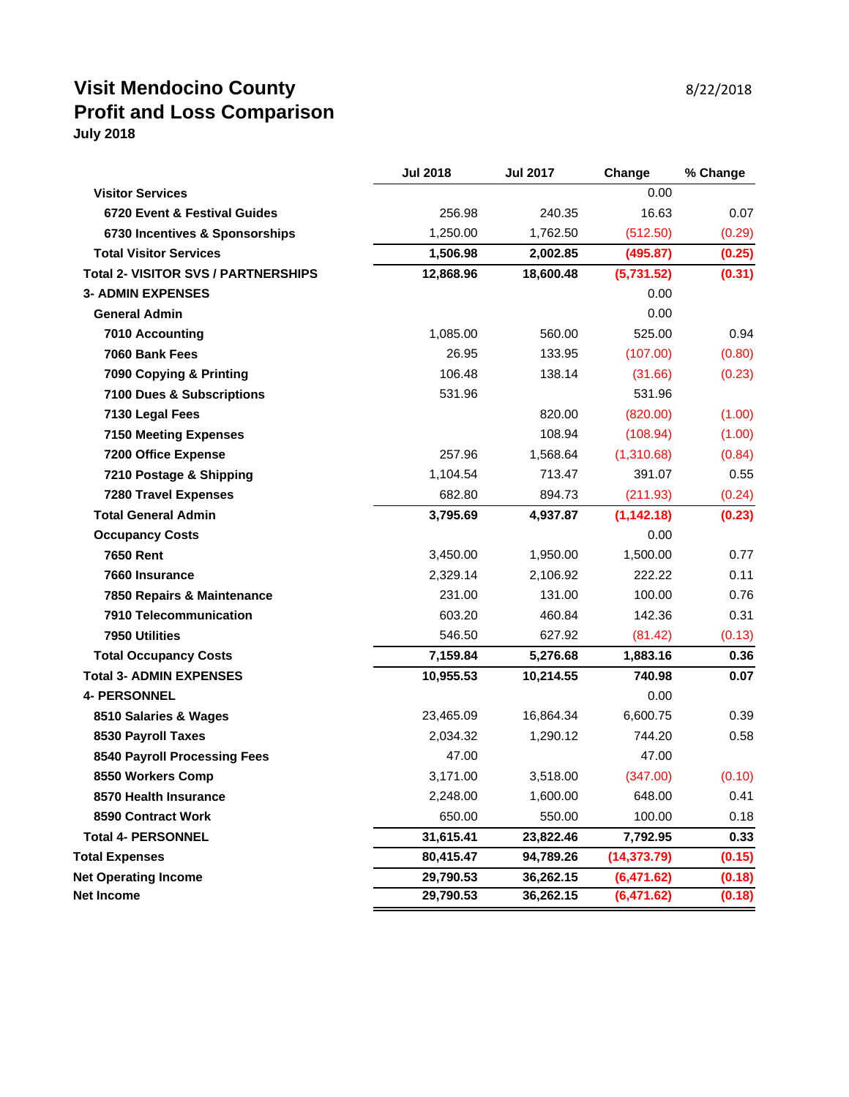## **Visit Mendocino County 8/22/2018 Profit and Loss Comparison July 2018**

|                                            | <b>Jul 2018</b> | <b>Jul 2017</b> | Change       | % Change |
|--------------------------------------------|-----------------|-----------------|--------------|----------|
| <b>Visitor Services</b>                    |                 |                 | 0.00         |          |
| 6720 Event & Festival Guides               | 256.98          | 240.35          | 16.63        | 0.07     |
| 6730 Incentives & Sponsorships             | 1,250.00        | 1,762.50        | (512.50)     | (0.29)   |
| <b>Total Visitor Services</b>              | 1,506.98        | 2,002.85        | (495.87)     | (0.25)   |
| <b>Total 2- VISITOR SVS / PARTNERSHIPS</b> | 12,868.96       | 18,600.48       | (5,731.52)   | (0.31)   |
| <b>3- ADMIN EXPENSES</b>                   |                 |                 | 0.00         |          |
| <b>General Admin</b>                       |                 |                 | 0.00         |          |
| 7010 Accounting                            | 1,085.00        | 560.00          | 525.00       | 0.94     |
| 7060 Bank Fees                             | 26.95           | 133.95          | (107.00)     | (0.80)   |
| 7090 Copying & Printing                    | 106.48          | 138.14          | (31.66)      | (0.23)   |
| 7100 Dues & Subscriptions                  | 531.96          |                 | 531.96       |          |
| 7130 Legal Fees                            |                 | 820.00          | (820.00)     | (1.00)   |
| <b>7150 Meeting Expenses</b>               |                 | 108.94          | (108.94)     | (1.00)   |
| 7200 Office Expense                        | 257.96          | 1,568.64        | (1,310.68)   | (0.84)   |
| 7210 Postage & Shipping                    | 1,104.54        | 713.47          | 391.07       | 0.55     |
| <b>7280 Travel Expenses</b>                | 682.80          | 894.73          | (211.93)     | (0.24)   |
| <b>Total General Admin</b>                 | 3,795.69        | 4,937.87        | (1, 142.18)  | (0.23)   |
| <b>Occupancy Costs</b>                     |                 |                 | 0.00         |          |
| <b>7650 Rent</b>                           | 3,450.00        | 1,950.00        | 1,500.00     | 0.77     |
| 7660 Insurance                             | 2,329.14        | 2,106.92        | 222.22       | 0.11     |
| 7850 Repairs & Maintenance                 | 231.00          | 131.00          | 100.00       | 0.76     |
| 7910 Telecommunication                     | 603.20          | 460.84          | 142.36       | 0.31     |
| 7950 Utilities                             | 546.50          | 627.92          | (81.42)      | (0.13)   |
| <b>Total Occupancy Costs</b>               | 7,159.84        | 5,276.68        | 1,883.16     | 0.36     |
| <b>Total 3- ADMIN EXPENSES</b>             | 10,955.53       | 10,214.55       | 740.98       | 0.07     |
| <b>4- PERSONNEL</b>                        |                 |                 | 0.00         |          |
| 8510 Salaries & Wages                      | 23,465.09       | 16,864.34       | 6,600.75     | 0.39     |
| 8530 Payroll Taxes                         | 2,034.32        | 1,290.12        | 744.20       | 0.58     |
| 8540 Payroll Processing Fees               | 47.00           |                 | 47.00        |          |
| 8550 Workers Comp                          | 3,171.00        | 3,518.00        | (347.00)     | (0.10)   |
| 8570 Health Insurance                      | 2,248.00        | 1,600.00        | 648.00       | 0.41     |
| 8590 Contract Work                         | 650.00          | 550.00          | 100.00       | 0.18     |
| <b>Total 4- PERSONNEL</b>                  | 31,615.41       | 23,822.46       | 7,792.95     | 0.33     |
| <b>Total Expenses</b>                      | 80,415.47       | 94,789.26       | (14, 373.79) | (0.15)   |
| <b>Net Operating Income</b>                | 29,790.53       | 36,262.15       | (6,471.62)   | (0.18)   |
| <b>Net Income</b>                          | 29,790.53       | 36,262.15       | (6,471.62)   | (0.18)   |